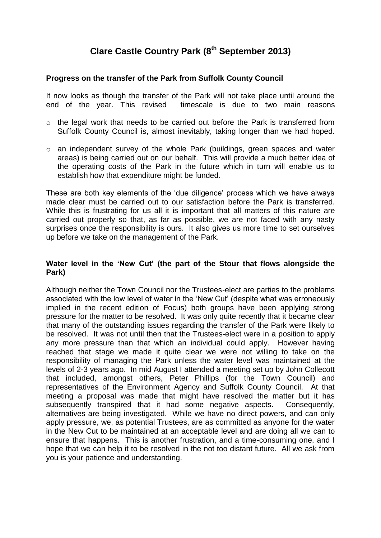# **Clare Castle Country Park (8 th September 2013)**

## **Progress on the transfer of the Park from Suffolk County Council**

It now looks as though the transfer of the Park will not take place until around the end of the year. This revised timescale is due to two main reasons

- o the legal work that needs to be carried out before the Park is transferred from Suffolk County Council is, almost inevitably, taking longer than we had hoped.
- o an independent survey of the whole Park (buildings, green spaces and water areas) is being carried out on our behalf. This will provide a much better idea of the operating costs of the Park in the future which in turn will enable us to establish how that expenditure might be funded.

These are both key elements of the 'due diligence' process which we have always made clear must be carried out to our satisfaction before the Park is transferred. While this is frustrating for us all it is important that all matters of this nature are carried out properly so that, as far as possible, we are not faced with any nasty surprises once the responsibility is ours. It also gives us more time to set ourselves up before we take on the management of the Park.

## **Water level in the 'New Cut' (the part of the Stour that flows alongside the Park)**

Although neither the Town Council nor the Trustees-elect are parties to the problems associated with the low level of water in the 'New Cut' (despite what was erroneously implied in the recent edition of Focus) both groups have been applying strong pressure for the matter to be resolved. It was only quite recently that it became clear that many of the outstanding issues regarding the transfer of the Park were likely to be resolved. It was not until then that the Trustees-elect were in a position to apply any more pressure than that which an individual could apply. However having reached that stage we made it quite clear we were not willing to take on the responsibility of managing the Park unless the water level was maintained at the levels of 2-3 years ago. In mid August I attended a meeting set up by John Collecott that included, amongst others, Peter Phillips (for the Town Council) and representatives of the Environment Agency and Suffolk County Council. At that meeting a proposal was made that might have resolved the matter but it has subsequently transpired that it had some negative aspects. Consequently, alternatives are being investigated. While we have no direct powers, and can only apply pressure, we, as potential Trustees, are as committed as anyone for the water in the New Cut to be maintained at an acceptable level and are doing all we can to ensure that happens. This is another frustration, and a time-consuming one, and I hope that we can help it to be resolved in the not too distant future. All we ask from you is your patience and understanding.